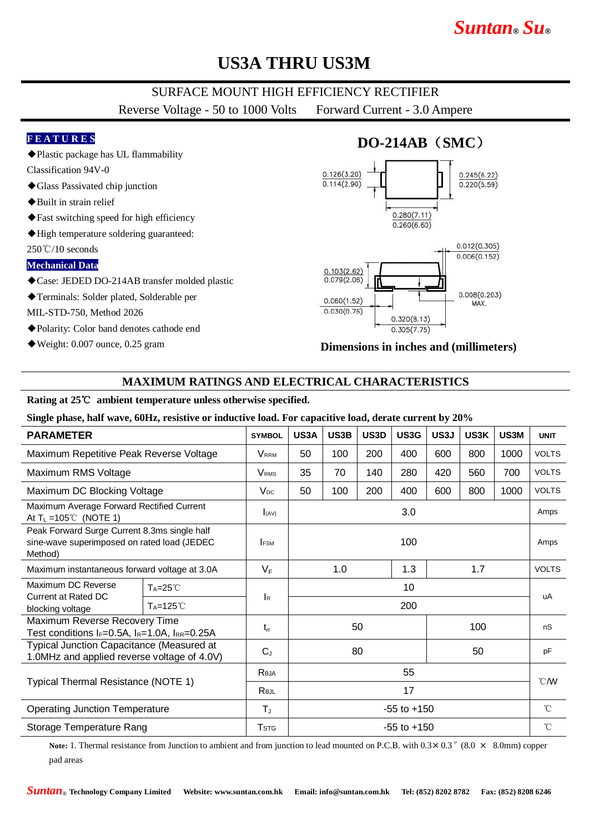# *Suntan***®** *Su***®**

## **US3A THRU US3M**

### SURFACE MOUNT HIGH EFFICIENCY RECTIFIER

Reverse Voltage - 50 to 1000 Volts Forward Current - 3.0 Ampere

#### **F E A T U R E S**

◆Plastic package has UL flammability

- Classification 94V-0 ◆Glass Passivated chip junction
- ◆Built in strain relief
- ◆Fast switching speed for high efficiency
- ◆High temperature soldering guaranteed:
- 250℃/10 seconds

#### **Mechanical Data**

- ◆Case: JEDED DO-214AB transfer molded plastic
- ◆Terminals: Solder plated, Solderable per

MIL-STD-750, Method 2026

- ◆Polarity: Color band denotes cathode end
- ◆Weight: 0.007 ounce, 0.25 gram

## **DO-214AB**(**SMC**)



#### **Dimensions in inches and (millimeters)**

### **MAXIMUM RATINGS AND ELECTRICAL CHARACTERISTICS**

#### **Rating at 25**℃ **ambient temperature unless otherwise specified.**

**Single phase, half wave, 60Hz, resistive or inductive load. For capacitive load, derate current by 20%**

| <b>PARAMETER</b>                                                                                       |                      | <b>SYMBOL</b>           | US3A              | US3B | US3D | US3G | US3J | US3K         | US3M         | <b>UNIT</b>    |
|--------------------------------------------------------------------------------------------------------|----------------------|-------------------------|-------------------|------|------|------|------|--------------|--------------|----------------|
| Maximum Repetitive Peak Reverse Voltage                                                                |                      | <b>V</b> <sub>RRM</sub> | 50                | 100  | 200  | 400  | 600  | 800          | 1000         | <b>VOLTS</b>   |
| Maximum RMS Voltage                                                                                    |                      | <b>V</b> <sub>RMS</sub> | 35                | 70   | 140  | 280  | 420  | 560          | 700          | <b>VOLTS</b>   |
| Maximum DC Blocking Voltage                                                                            |                      | $V_{DC}$                | 50                | 100  | 200  | 400  | 600  | 800          | 1000         | <b>VOLTS</b>   |
| Maximum Average Forward Rectified Current<br>At $T_L = 105^{\circ}$ (NOTE 1)                           |                      | I(AV)                   | 3.0               |      |      |      |      |              |              | Amps           |
| Peak Forward Surge Current 8.3ms single half<br>sine-wave superimposed on rated load (JEDEC<br>Method) |                      | <b>IFSM</b>             | 100               |      |      |      |      |              | Amps         |                |
| Maximum instantaneous forward voltage at 3.0A                                                          |                      | $V_F$                   | 1.0<br>1.3<br>1.7 |      |      |      |      | <b>VOLTS</b> |              |                |
| Maximum DC Reverse<br><b>Current at Rated DC</b><br>blocking voltage                                   | $T_A = 25^{\circ}$   |                         | 10<br>200         |      |      |      |      |              |              | uA             |
|                                                                                                        | $T_A = 125^{\circ}C$ | <b>I</b> R              |                   |      |      |      |      |              |              |                |
| Maximum Reverse Recovery Time<br>Test conditions $I_F=0.5A$ , $I_R=1.0A$ , $I_{RR}=0.25A$              |                      | $t_{rr}$                | 50                |      |      | 100  |      |              | nS           |                |
| Typical Junction Capacitance (Measured at<br>1.0MHz and applied reverse voltage of 4.0V)               |                      | $C_{J}$                 | 80                |      |      |      | 50   |              | pF           |                |
| Typical Thermal Resistance (NOTE 1)                                                                    |                      | Reja                    | 55                |      |      |      |      |              |              | $^{\circ}$ CMV |
|                                                                                                        |                      | Rejl                    | 17                |      |      |      |      |              |              |                |
| <b>Operating Junction Temperature</b>                                                                  |                      | $T_{\rm J}$             | $-55$ to $+150$   |      |      |      |      |              | $^{\circ}$ C |                |
| Storage Temperature Rang                                                                               |                      | <b>T</b> <sub>STG</sub> | $-55$ to $+150$   |      |      |      |      |              |              | $^{\circ}$ C   |

**Note:** 1. Thermal resistance from Junction to ambient and from junction to lead mounted on P.C.B. with  $0.3 \times 0.3$  " $(8.0 \times 8.0 \text{mm})$  copper pad areas